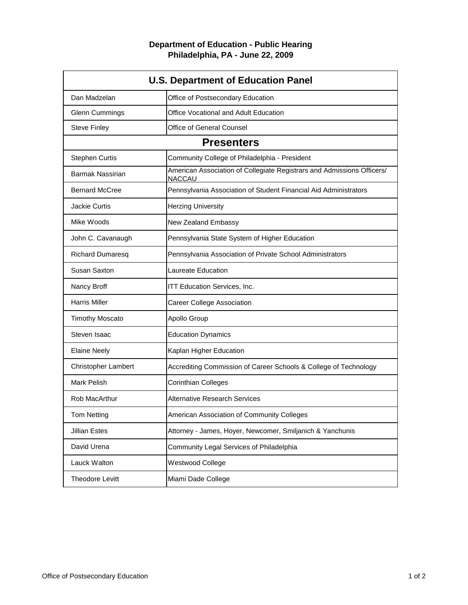## **Department of Education - Public Hearing Philadelphia, PA - June 22, 2009**

| <b>U.S. Department of Education Panel</b> |                                                                                         |
|-------------------------------------------|-----------------------------------------------------------------------------------------|
| Dan Madzelan                              | Office of Postsecondary Education                                                       |
| <b>Glenn Cummings</b>                     | Office Vocational and Adult Education                                                   |
| <b>Steve Finley</b>                       | Office of General Counsel                                                               |
| <b>Presenters</b>                         |                                                                                         |
| <b>Stephen Curtis</b>                     | Community College of Philadelphia - President                                           |
| <b>Barmak Nassirian</b>                   | American Association of Collegiate Registrars and Admissions Officers/<br><b>NACCAU</b> |
| <b>Bernard McCree</b>                     | Pennsylvania Association of Student Financial Aid Administrators                        |
| <b>Jackie Curtis</b>                      | <b>Herzing University</b>                                                               |
| Mike Woods                                | New Zealand Embassy                                                                     |
| John C. Cavanaugh                         | Pennsylvania State System of Higher Education                                           |
| <b>Richard Dumaresq</b>                   | Pennsylvania Association of Private School Administrators                               |
| Susan Saxton                              | Laureate Education                                                                      |
| Nancy Broff                               | ITT Education Services, Inc.                                                            |
| <b>Harris Miller</b>                      | <b>Career College Association</b>                                                       |
| <b>Timothy Moscato</b>                    | Apollo Group                                                                            |
| Steven Isaac                              | <b>Education Dynamics</b>                                                               |
| <b>Elaine Neely</b>                       | Kaplan Higher Education                                                                 |
| <b>Christopher Lambert</b>                | Accrediting Commission of Career Schools & College of Technology                        |
| <b>Mark Pelish</b>                        | <b>Corinthian Colleges</b>                                                              |
| Rob MacArthur                             | <b>Alternative Research Services</b>                                                    |
| <b>Tom Netting</b>                        | American Association of Community Colleges                                              |
| <b>Jillian Estes</b>                      | Attorney - James, Hoyer, Newcomer, Smiljanich & Yanchunis                               |
| David Urena                               | Community Legal Services of Philadelphia                                                |
| Lauck Walton                              | Westwood College                                                                        |
| Theodore Levitt                           | Miami Dade College                                                                      |